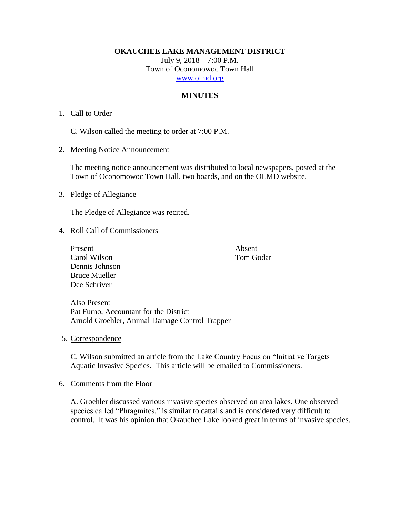**OKAUCHEE LAKE MANAGEMENT DISTRICT**

July 9, 2018 – 7:00 P.M. Town of Oconomowoc Town Hall [www.olmd.org](http://www.olmd.org/)

# **MINUTES**

## 1. Call to Order

C. Wilson called the meeting to order at 7:00 P.M.

2. Meeting Notice Announcement

The meeting notice announcement was distributed to local newspapers, posted at the Town of Oconomowoc Town Hall, two boards, and on the OLMD website.

## 3. Pledge of Allegiance

The Pledge of Allegiance was recited.

#### 4. Roll Call of Commissioners

Present Absent Carol Wilson Tom Godar Dennis Johnson Bruce Mueller Dee Schriver

Also Present Pat Furno, Accountant for the District Arnold Groehler, Animal Damage Control Trapper

5. Correspondence

C. Wilson submitted an article from the Lake Country Focus on "Initiative Targets Aquatic Invasive Species. This article will be emailed to Commissioners.

6. Comments from the Floor

A. Groehler discussed various invasive species observed on area lakes. One observed species called "Phragmites," is similar to cattails and is considered very difficult to control. It was his opinion that Okauchee Lake looked great in terms of invasive species.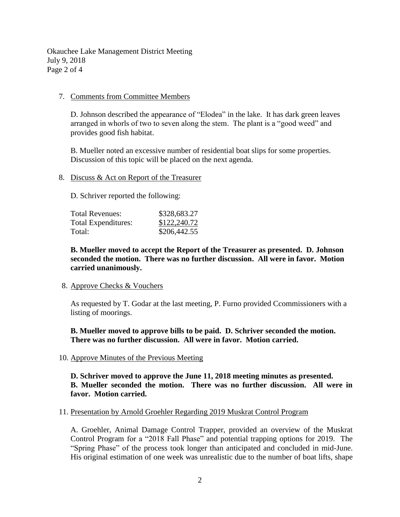Okauchee Lake Management District Meeting July 9, 2018 Page 2 of 4

#### 7. Comments from Committee Members

D. Johnson described the appearance of "Elodea" in the lake. It has dark green leaves arranged in whorls of two to seven along the stem. The plant is a "good weed" and provides good fish habitat.

B. Mueller noted an excessive number of residential boat slips for some properties. Discussion of this topic will be placed on the next agenda.

## 8. Discuss & Act on Report of the Treasurer

D. Schriver reported the following:

| Total Revenues:     | \$328,683.27 |
|---------------------|--------------|
| Total Expenditures: | \$122,240.72 |
| Total:              | \$206,442.55 |

**B. Mueller moved to accept the Report of the Treasurer as presented. D. Johnson seconded the motion. There was no further discussion. All were in favor. Motion carried unanimously.**

#### 8. Approve Checks & Vouchers

As requested by T. Godar at the last meeting, P. Furno provided Ccommissioners with a listing of moorings.

**B. Mueller moved to approve bills to be paid. D. Schriver seconded the motion. There was no further discussion. All were in favor. Motion carried.**

## 10. Approve Minutes of the Previous Meeting

**D. Schriver moved to approve the June 11, 2018 meeting minutes as presented. B. Mueller seconded the motion. There was no further discussion. All were in favor. Motion carried.**

#### 11. Presentation by Arnold Groehler Regarding 2019 Muskrat Control Program

A. Groehler, Animal Damage Control Trapper, provided an overview of the Muskrat Control Program for a "2018 Fall Phase" and potential trapping options for 2019. The "Spring Phase" of the process took longer than anticipated and concluded in mid-June. His original estimation of one week was unrealistic due to the number of boat lifts, shape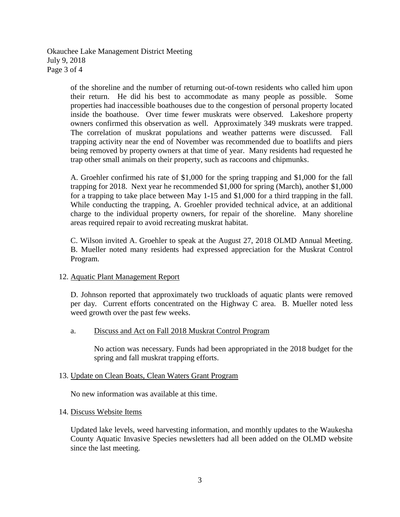Okauchee Lake Management District Meeting July 9, 2018 Page 3 of 4

> of the shoreline and the number of returning out-of-town residents who called him upon their return. He did his best to accommodate as many people as possible. Some properties had inaccessible boathouses due to the congestion of personal property located inside the boathouse. Over time fewer muskrats were observed. Lakeshore property owners confirmed this observation as well. Approximately 349 muskrats were trapped. The correlation of muskrat populations and weather patterns were discussed. Fall trapping activity near the end of November was recommended due to boatlifts and piers being removed by property owners at that time of year. Many residents had requested he trap other small animals on their property, such as raccoons and chipmunks.

> A. Groehler confirmed his rate of \$1,000 for the spring trapping and \$1,000 for the fall trapping for 2018. Next year he recommended \$1,000 for spring (March), another \$1,000 for a trapping to take place between May 1-15 and \$1,000 for a third trapping in the fall. While conducting the trapping, A. Groehler provided technical advice, at an additional charge to the individual property owners, for repair of the shoreline. Many shoreline areas required repair to avoid recreating muskrat habitat.

> C. Wilson invited A. Groehler to speak at the August 27, 2018 OLMD Annual Meeting. B. Mueller noted many residents had expressed appreciation for the Muskrat Control Program.

## 12. Aquatic Plant Management Report

D. Johnson reported that approximately two truckloads of aquatic plants were removed per day. Current efforts concentrated on the Highway C area. B. Mueller noted less weed growth over the past few weeks.

## a. Discuss and Act on Fall 2018 Muskrat Control Program

No action was necessary. Funds had been appropriated in the 2018 budget for the spring and fall muskrat trapping efforts.

## 13. Update on Clean Boats, Clean Waters Grant Program

No new information was available at this time.

## 14. Discuss Website Items

Updated lake levels, weed harvesting information, and monthly updates to the Waukesha County Aquatic Invasive Species newsletters had all been added on the OLMD website since the last meeting.